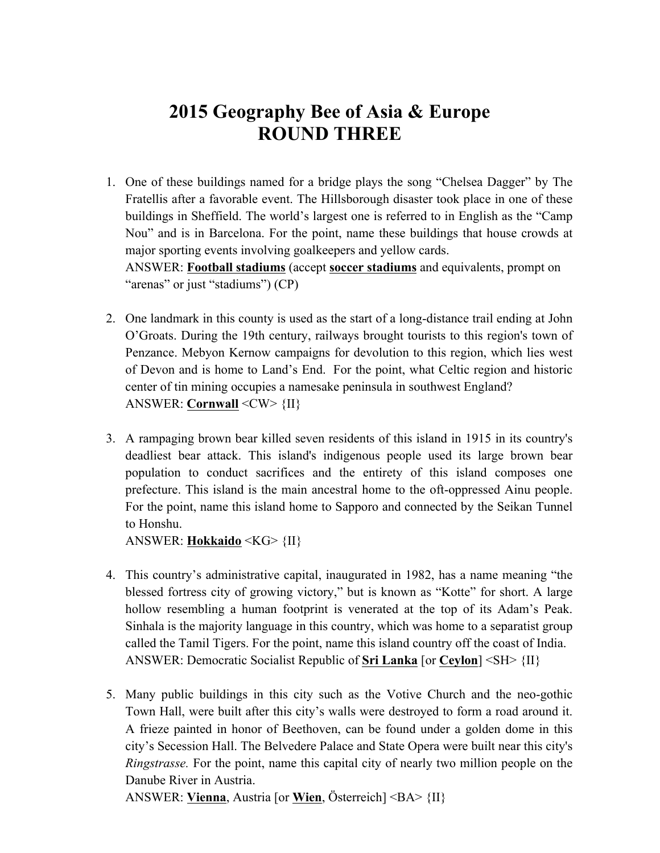## **2015 Geography Bee of Asia & Europe ROUND THREE**

- 1. One of these buildings named for a bridge plays the song "Chelsea Dagger" by The Fratellis after a favorable event. The Hillsborough disaster took place in one of these buildings in Sheffield. The world's largest one is referred to in English as the "Camp Nou" and is in Barcelona. For the point, name these buildings that house crowds at major sporting events involving goalkeepers and yellow cards. ANSWER: **Football stadiums** (accept **soccer stadiums** and equivalents, prompt on "arenas" or just "stadiums") (CP)
- 2. One landmark in this county is used as the start of a long-distance trail ending at John O'Groats. During the 19th century, railways brought tourists to this region's town of Penzance. Mebyon Kernow campaigns for devolution to this region, which lies west of Devon and is home to Land's End. For the point, what Celtic region and historic center of tin mining occupies a namesake peninsula in southwest England? ANSWER: **Cornwall** <CW> {II}
- 3. A rampaging brown bear killed seven residents of this island in 1915 in its country's deadliest bear attack. This island's indigenous people used its large brown bear population to conduct sacrifices and the entirety of this island composes one prefecture. This island is the main ancestral home to the oft-oppressed Ainu people. For the point, name this island home to Sapporo and connected by the Seikan Tunnel to Honshu.

ANSWER: **Hokkaido** <KG> {II}

- 4. This country's administrative capital, inaugurated in 1982, has a name meaning "the blessed fortress city of growing victory," but is known as "Kotte" for short. A large hollow resembling a human footprint is venerated at the top of its Adam's Peak. Sinhala is the majority language in this country, which was home to a separatist group called the Tamil Tigers. For the point, name this island country off the coast of India. ANSWER: Democratic Socialist Republic of **Sri Lanka** [or **Ceylon**] <SH> {II}
- 5. Many public buildings in this city such as the Votive Church and the neo-gothic Town Hall, were built after this city's walls were destroyed to form a road around it. A frieze painted in honor of Beethoven, can be found under a golden dome in this city's Secession Hall. The Belvedere Palace and State Opera were built near this city's *Ringstrasse.* For the point, name this capital city of nearly two million people on the Danube River in Austria.

ANSWER: **Vienna**, Austria [or **Wien**, Österreich] <BA> {II}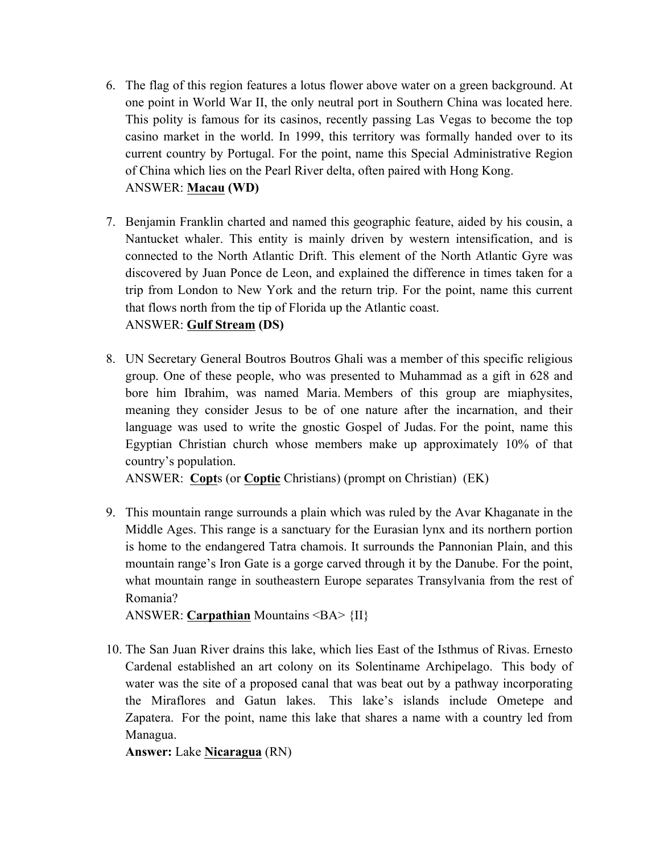- 6. The flag of this region features a lotus flower above water on a green background. At one point in World War II, the only neutral port in Southern China was located here. This polity is famous for its casinos, recently passing Las Vegas to become the top casino market in the world. In 1999, this territory was formally handed over to its current country by Portugal. For the point, name this Special Administrative Region of China which lies on the Pearl River delta, often paired with Hong Kong. ANSWER: **Macau (WD)**
- 7. Benjamin Franklin charted and named this geographic feature, aided by his cousin, a Nantucket whaler. This entity is mainly driven by western intensification, and is connected to the North Atlantic Drift. This element of the North Atlantic Gyre was discovered by Juan Ponce de Leon, and explained the difference in times taken for a trip from London to New York and the return trip. For the point, name this current that flows north from the tip of Florida up the Atlantic coast. ANSWER: **Gulf Stream (DS)**
- 8. UN Secretary General Boutros Boutros Ghali was a member of this specific religious group. One of these people, who was presented to Muhammad as a gift in 628 and bore him Ibrahim, was named Maria. Members of this group are miaphysites, meaning they consider Jesus to be of one nature after the incarnation, and their language was used to write the gnostic Gospel of Judas. For the point, name this Egyptian Christian church whose members make up approximately 10% of that country's population.

ANSWER: **Copt**s (or **Coptic** Christians) (prompt on Christian) (EK)

9. This mountain range surrounds a plain which was ruled by the Avar Khaganate in the Middle Ages. This range is a sanctuary for the Eurasian lynx and its northern portion is home to the endangered Tatra chamois. It surrounds the Pannonian Plain, and this mountain range's Iron Gate is a gorge carved through it by the Danube. For the point, what mountain range in southeastern Europe separates Transylvania from the rest of Romania?

ANSWER: **Carpathian** Mountains <BA> {II}

10. The San Juan River drains this lake, which lies East of the Isthmus of Rivas. Ernesto Cardenal established an art colony on its Solentiname Archipelago. This body of water was the site of a proposed canal that was beat out by a pathway incorporating the Miraflores and Gatun lakes. This lake's islands include Ometepe and Zapatera. For the point, name this lake that shares a name with a country led from Managua.

**Answer:** Lake **Nicaragua** (RN)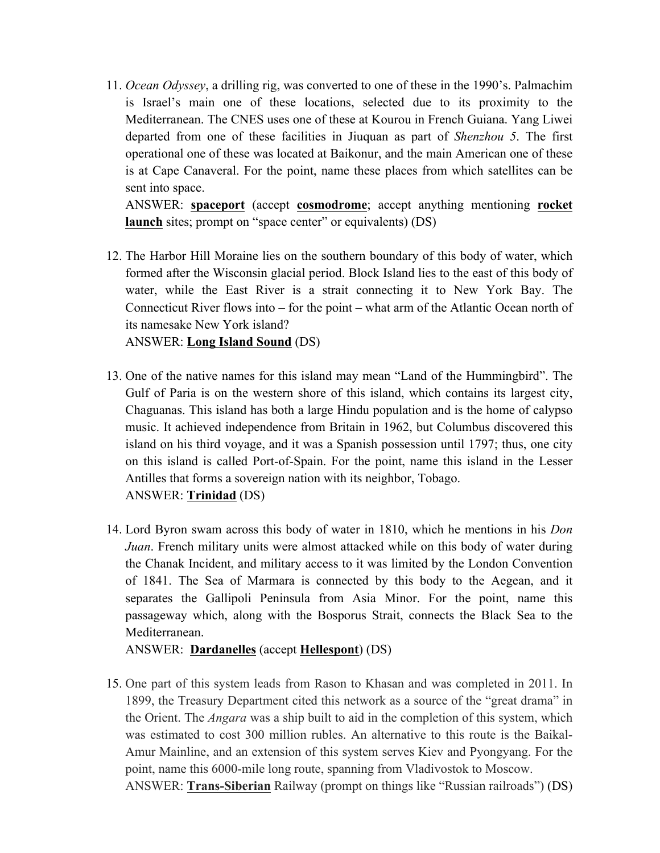11. *Ocean Odyssey*, a drilling rig, was converted to one of these in the 1990's. Palmachim is Israel's main one of these locations, selected due to its proximity to the Mediterranean. The CNES uses one of these at Kourou in French Guiana. Yang Liwei departed from one of these facilities in Jiuquan as part of *Shenzhou 5*. The first operational one of these was located at Baikonur, and the main American one of these is at Cape Canaveral. For the point, name these places from which satellites can be sent into space.

ANSWER: **spaceport** (accept **cosmodrome**; accept anything mentioning **rocket launch** sites; prompt on "space center" or equivalents) (DS)

- 12. The Harbor Hill Moraine lies on the southern boundary of this body of water, which formed after the Wisconsin glacial period. Block Island lies to the east of this body of water, while the East River is a strait connecting it to New York Bay. The Connecticut River flows into – for the point – what arm of the Atlantic Ocean north of its namesake New York island? ANSWER: **Long Island Sound** (DS)
- 13. One of the native names for this island may mean "Land of the Hummingbird". The Gulf of Paria is on the western shore of this island, which contains its largest city, Chaguanas. This island has both a large Hindu population and is the home of calypso music. It achieved independence from Britain in 1962, but Columbus discovered this island on his third voyage, and it was a Spanish possession until 1797; thus, one city on this island is called Port-of-Spain. For the point, name this island in the Lesser Antilles that forms a sovereign nation with its neighbor, Tobago. ANSWER: **Trinidad** (DS)
- 14. Lord Byron swam across this body of water in 1810, which he mentions in his *Don Juan*. French military units were almost attacked while on this body of water during the Chanak Incident, and military access to it was limited by the London Convention of 1841. The Sea of Marmara is connected by this body to the Aegean, and it separates the Gallipoli Peninsula from Asia Minor. For the point, name this passageway which, along with the Bosporus Strait, connects the Black Sea to the Mediterranean.

ANSWER: **Dardanelles** (accept **Hellespont**) (DS)

15. One part of this system leads from Rason to Khasan and was completed in 2011. In 1899, the Treasury Department cited this network as a source of the "great drama" in the Orient. The *Angara* was a ship built to aid in the completion of this system, which was estimated to cost 300 million rubles. An alternative to this route is the Baikal-Amur Mainline, and an extension of this system serves Kiev and Pyongyang. For the point, name this 6000-mile long route, spanning from Vladivostok to Moscow. ANSWER: **Trans-Siberian** Railway (prompt on things like "Russian railroads") (DS)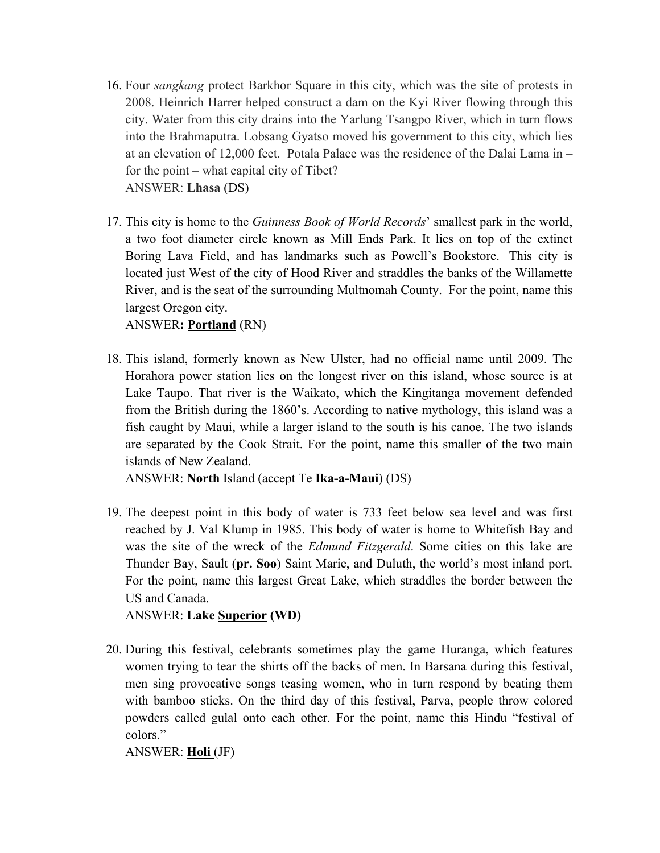- 16. Four *sangkang* protect Barkhor Square in this city, which was the site of protests in 2008. Heinrich Harrer helped construct a dam on the Kyi River flowing through this city. Water from this city drains into the Yarlung Tsangpo River, which in turn flows into the Brahmaputra. Lobsang Gyatso moved his government to this city, which lies at an elevation of 12,000 feet. Potala Palace was the residence of the Dalai Lama in – for the point – what capital city of Tibet? ANSWER: **Lhasa** (DS)
- 17. This city is home to the *Guinness Book of World Records*' smallest park in the world, a two foot diameter circle known as Mill Ends Park. It lies on top of the extinct Boring Lava Field, and has landmarks such as Powell's Bookstore. This city is located just West of the city of Hood River and straddles the banks of the Willamette River, and is the seat of the surrounding Multnomah County. For the point, name this largest Oregon city.

ANSWER**: Portland** (RN)

18. This island, formerly known as New Ulster, had no official name until 2009. The Horahora power station lies on the longest river on this island, whose source is at Lake Taupo. That river is the Waikato, which the Kingitanga movement defended from the British during the 1860's. According to native mythology, this island was a fish caught by Maui, while a larger island to the south is his canoe. The two islands are separated by the Cook Strait. For the point, name this smaller of the two main islands of New Zealand.

ANSWER: **North** Island (accept Te **Ika-a-Maui**) (DS)

19. The deepest point in this body of water is 733 feet below sea level and was first reached by J. Val Klump in 1985. This body of water is home to Whitefish Bay and was the site of the wreck of the *Edmund Fitzgerald*. Some cities on this lake are Thunder Bay, Sault (**pr. Soo**) Saint Marie, and Duluth, the world's most inland port. For the point, name this largest Great Lake, which straddles the border between the US and Canada.

ANSWER: **Lake Superior (WD)**

20. During this festival, celebrants sometimes play the game Huranga, which features women trying to tear the shirts off the backs of men. In Barsana during this festival, men sing provocative songs teasing women, who in turn respond by beating them with bamboo sticks. On the third day of this festival, Parva, people throw colored powders called gulal onto each other. For the point, name this Hindu "festival of colors."

ANSWER: **Holi** (JF)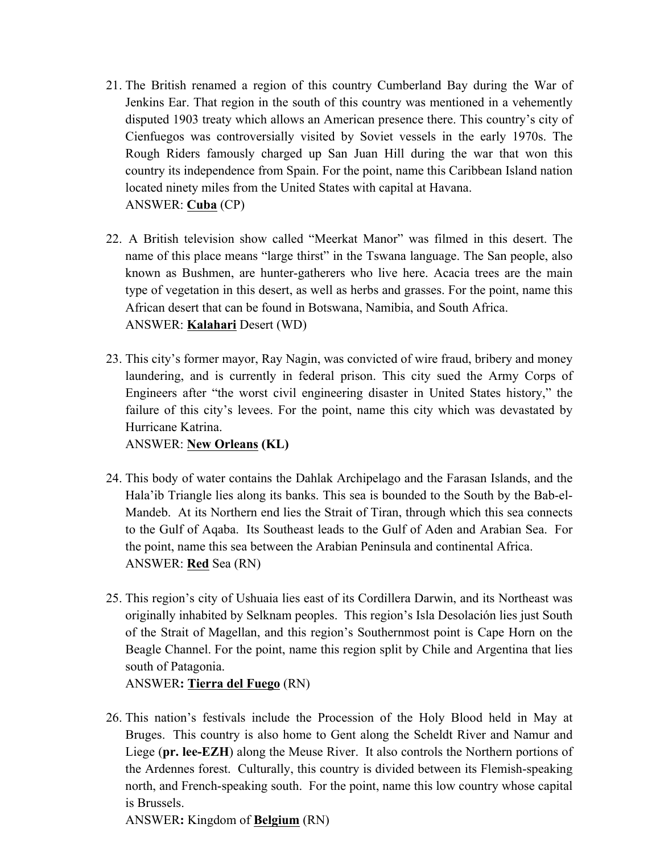- 21. The British renamed a region of this country Cumberland Bay during the War of Jenkins Ear. That region in the south of this country was mentioned in a vehemently disputed 1903 treaty which allows an American presence there. This country's city of Cienfuegos was controversially visited by Soviet vessels in the early 1970s. The Rough Riders famously charged up San Juan Hill during the war that won this country its independence from Spain. For the point, name this Caribbean Island nation located ninety miles from the United States with capital at Havana. ANSWER: **Cuba** (CP)
- 22. A British television show called "Meerkat Manor" was filmed in this desert. The name of this place means "large thirst" in the Tswana language. The San people, also known as Bushmen, are hunter-gatherers who live here. Acacia trees are the main type of vegetation in this desert, as well as herbs and grasses. For the point, name this African desert that can be found in Botswana, Namibia, and South Africa. ANSWER: **Kalahari** Desert (WD)
- 23. This city's former mayor, Ray Nagin, was convicted of wire fraud, bribery and money laundering, and is currently in federal prison. This city sued the Army Corps of Engineers after "the worst civil engineering disaster in United States history," the failure of this city's levees. For the point, name this city which was devastated by Hurricane Katrina.

ANSWER: **New Orleans (KL)**

- 24. This body of water contains the Dahlak Archipelago and the Farasan Islands, and the Hala'ib Triangle lies along its banks. This sea is bounded to the South by the Bab-el-Mandeb. At its Northern end lies the Strait of Tiran, through which this sea connects to the Gulf of Aqaba. Its Southeast leads to the Gulf of Aden and Arabian Sea. For the point, name this sea between the Arabian Peninsula and continental Africa. ANSWER: **Red** Sea (RN)
- 25. This region's city of Ushuaia lies east of its Cordillera Darwin, and its Northeast was originally inhabited by Selknam peoples. This region's Isla Desolación lies just South of the Strait of Magellan, and this region's Southernmost point is Cape Horn on the Beagle Channel. For the point, name this region split by Chile and Argentina that lies south of Patagonia.

ANSWER**: Tierra del Fuego** (RN)

26. This nation's festivals include the Procession of the Holy Blood held in May at Bruges. This country is also home to Gent along the Scheldt River and Namur and Liege (**pr. lee-EZH**) along the Meuse River. It also controls the Northern portions of the Ardennes forest. Culturally, this country is divided between its Flemish-speaking north, and French-speaking south. For the point, name this low country whose capital is Brussels.

ANSWER**:** Kingdom of **Belgium** (RN)